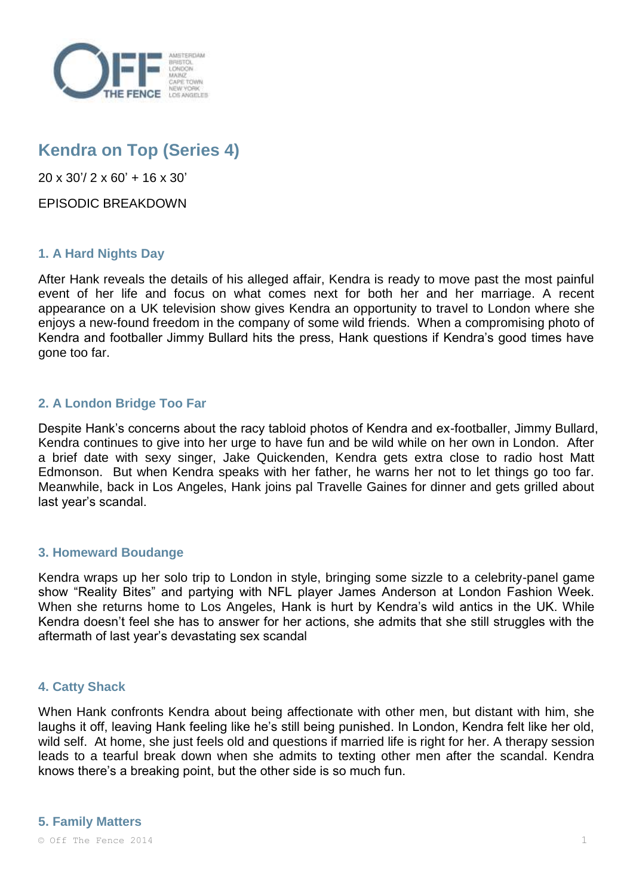

# **Kendra on Top (Series 4)**

20 x 30'/ 2 x 60' + 16 x 30'

EPISODIC BREAKDOWN

# **1. A Hard Nights Day**

After Hank reveals the details of his alleged affair, Kendra is ready to move past the most painful event of her life and focus on what comes next for both her and her marriage. A recent appearance on a UK television show gives Kendra an opportunity to travel to London where she enjoys a new-found freedom in the company of some wild friends. When a compromising photo of Kendra and footballer Jimmy Bullard hits the press, Hank questions if Kendra's good times have gone too far.

# **2. A London Bridge Too Far**

Despite Hank's concerns about the racy tabloid photos of Kendra and ex-footballer, Jimmy Bullard, Kendra continues to give into her urge to have fun and be wild while on her own in London. After a brief date with sexy singer, Jake Quickenden, Kendra gets extra close to radio host Matt Edmonson. But when Kendra speaks with her father, he warns her not to let things go too far. Meanwhile, back in Los Angeles, Hank joins pal Travelle Gaines for dinner and gets grilled about last year's scandal.

# **3. Homeward Boudange**

Kendra wraps up her solo trip to London in style, bringing some sizzle to a celebrity-panel game show "Reality Bites" and partying with NFL player James Anderson at London Fashion Week. When she returns home to Los Angeles, Hank is hurt by Kendra's wild antics in the UK. While Kendra doesn't feel she has to answer for her actions, she admits that she still struggles with the aftermath of last year's devastating sex scandal

# **4. Catty Shack**

When Hank confronts Kendra about being affectionate with other men, but distant with him, she laughs it off, leaving Hank feeling like he's still being punished. In London, Kendra felt like her old, wild self. At home, she just feels old and questions if married life is right for her. A therapy session leads to a tearful break down when she admits to texting other men after the scandal. Kendra knows there's a breaking point, but the other side is so much fun.

#### **5. Family Matters**

 $\circ$  Off The Fence 2014 1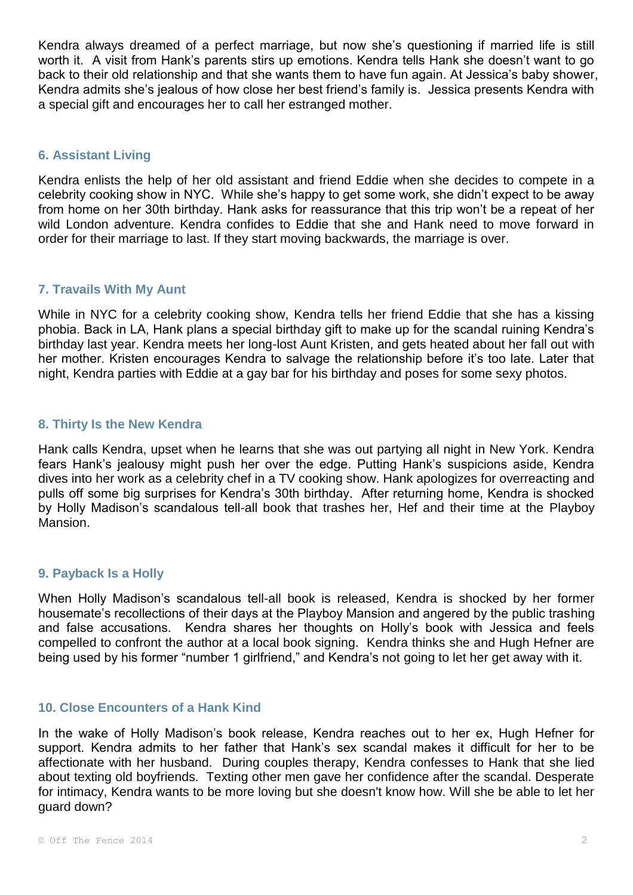Kendra always dreamed of a perfect marriage, but now she's questioning if married life is still worth it. A visit from Hank's parents stirs up emotions. Kendra tells Hank she doesn't want to go back to their old relationship and that she wants them to have fun again. At Jessica's baby shower, Kendra admits she's jealous of how close her best friend's family is. Jessica presents Kendra with a special gift and encourages her to call her estranged mother.

#### **6. Assistant Living**

Kendra enlists the help of her old assistant and friend Eddie when she decides to compete in a celebrity cooking show in NYC. While she's happy to get some work, she didn't expect to be away from home on her 30th birthday. Hank asks for reassurance that this trip won't be a repeat of her wild London adventure. Kendra confides to Eddie that she and Hank need to move forward in order for their marriage to last. If they start moving backwards, the marriage is over.

#### **7. Travails With My Aunt**

While in NYC for a celebrity cooking show, Kendra tells her friend Eddie that she has a kissing phobia. Back in LA, Hank plans a special birthday gift to make up for the scandal ruining Kendra's birthday last year. Kendra meets her long-lost Aunt Kristen, and gets heated about her fall out with her mother. Kristen encourages Kendra to salvage the relationship before it's too late. Later that night, Kendra parties with Eddie at a gay bar for his birthday and poses for some sexy photos.

#### **8. Thirty Is the New Kendra**

Hank calls Kendra, upset when he learns that she was out partying all night in New York. Kendra fears Hank's jealousy might push her over the edge. Putting Hank's suspicions aside, Kendra dives into her work as a celebrity chef in a TV cooking show. Hank apologizes for overreacting and pulls off some big surprises for Kendra's 30th birthday. After returning home, Kendra is shocked by Holly Madison's scandalous tell-all book that trashes her, Hef and their time at the Playboy Mansion.

# **9. Payback Is a Holly**

When Holly Madison's scandalous tell-all book is released, Kendra is shocked by her former housemate's recollections of their days at the Playboy Mansion and angered by the public trashing and false accusations. Kendra shares her thoughts on Holly's book with Jessica and feels compelled to confront the author at a local book signing. Kendra thinks she and Hugh Hefner are being used by his former "number 1 girlfriend," and Kendra's not going to let her get away with it.

#### **10. Close Encounters of a Hank Kind**

In the wake of Holly Madison's book release, Kendra reaches out to her ex, Hugh Hefner for support. Kendra admits to her father that Hank's sex scandal makes it difficult for her to be affectionate with her husband. During couples therapy, Kendra confesses to Hank that she lied about texting old boyfriends. Texting other men gave her confidence after the scandal. Desperate for intimacy, Kendra wants to be more loving but she doesn't know how. Will she be able to let her guard down?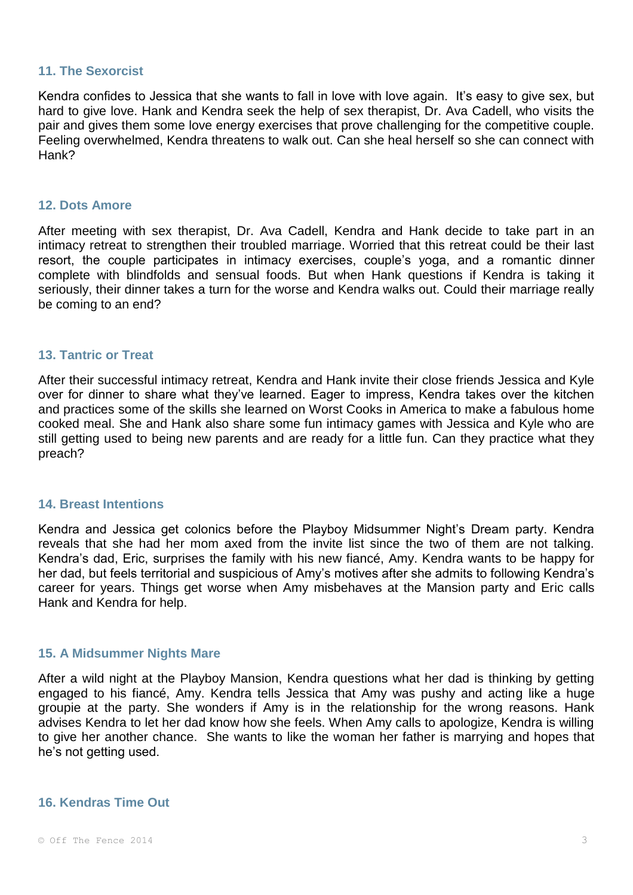#### **11. The Sexorcist**

Kendra confides to Jessica that she wants to fall in love with love again. It's easy to give sex, but hard to give love. Hank and Kendra seek the help of sex therapist, Dr. Ava Cadell, who visits the pair and gives them some love energy exercises that prove challenging for the competitive couple. Feeling overwhelmed, Kendra threatens to walk out. Can she heal herself so she can connect with Hank?

#### **12. Dots Amore**

After meeting with sex therapist, Dr. Ava Cadell, Kendra and Hank decide to take part in an intimacy retreat to strengthen their troubled marriage. Worried that this retreat could be their last resort, the couple participates in intimacy exercises, couple's yoga, and a romantic dinner complete with blindfolds and sensual foods. But when Hank questions if Kendra is taking it seriously, their dinner takes a turn for the worse and Kendra walks out. Could their marriage really be coming to an end?

#### **13. Tantric or Treat**

After their successful intimacy retreat, Kendra and Hank invite their close friends Jessica and Kyle over for dinner to share what they've learned. Eager to impress, Kendra takes over the kitchen and practices some of the skills she learned on Worst Cooks in America to make a fabulous home cooked meal. She and Hank also share some fun intimacy games with Jessica and Kyle who are still getting used to being new parents and are ready for a little fun. Can they practice what they preach?

#### **14. Breast Intentions**

Kendra and Jessica get colonics before the Playboy Midsummer Night's Dream party. Kendra reveals that she had her mom axed from the invite list since the two of them are not talking. Kendra's dad, Eric, surprises the family with his new fiancé, Amy. Kendra wants to be happy for her dad, but feels territorial and suspicious of Amy's motives after she admits to following Kendra's career for years. Things get worse when Amy misbehaves at the Mansion party and Eric calls Hank and Kendra for help.

#### **15. A Midsummer Nights Mare**

After a wild night at the Playboy Mansion, Kendra questions what her dad is thinking by getting engaged to his fiancé, Amy. Kendra tells Jessica that Amy was pushy and acting like a huge groupie at the party. She wonders if Amy is in the relationship for the wrong reasons. Hank advises Kendra to let her dad know how she feels. When Amy calls to apologize, Kendra is willing to give her another chance. She wants to like the woman her father is marrying and hopes that he's not getting used.

#### **16. Kendras Time Out**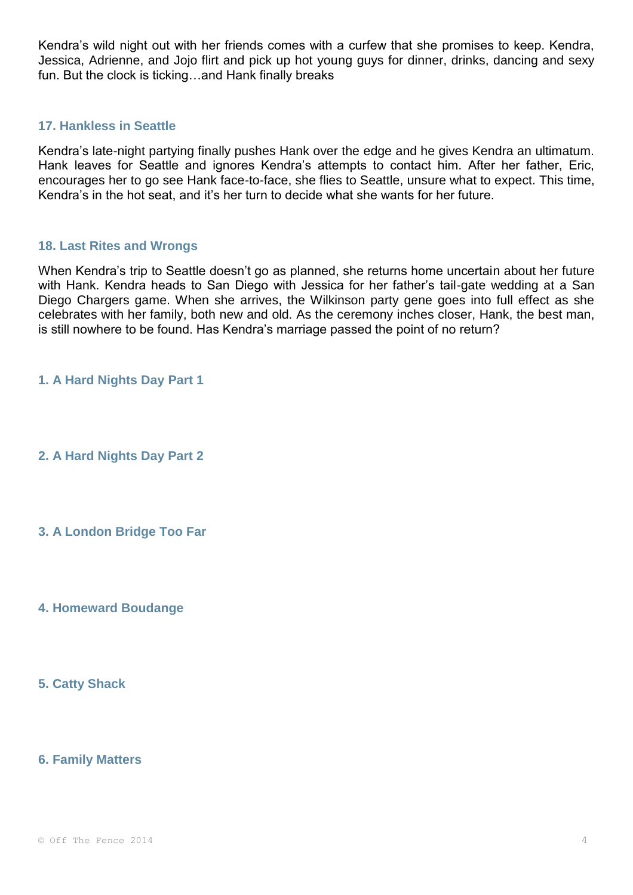Kendra's wild night out with her friends comes with a curfew that she promises to keep. Kendra, Jessica, Adrienne, and Jojo flirt and pick up hot young guys for dinner, drinks, dancing and sexy fun. But the clock is ticking…and Hank finally breaks

#### **17. Hankless in Seattle**

Kendra's late-night partying finally pushes Hank over the edge and he gives Kendra an ultimatum. Hank leaves for Seattle and ignores Kendra's attempts to contact him. After her father, Eric, encourages her to go see Hank face-to-face, she flies to Seattle, unsure what to expect. This time, Kendra's in the hot seat, and it's her turn to decide what she wants for her future.

#### **18. Last Rites and Wrongs**

When Kendra's trip to Seattle doesn't go as planned, she returns home uncertain about her future with Hank. Kendra heads to San Diego with Jessica for her father's tail-gate wedding at a San Diego Chargers game. When she arrives, the Wilkinson party gene goes into full effect as she celebrates with her family, both new and old. As the ceremony inches closer, Hank, the best man, is still nowhere to be found. Has Kendra's marriage passed the point of no return?

**1. A Hard Nights Day Part 1**

**2. A Hard Nights Day Part 2**

**3. A London Bridge Too Far**

**4. Homeward Boudange**

**5. Catty Shack**

**6. Family Matters**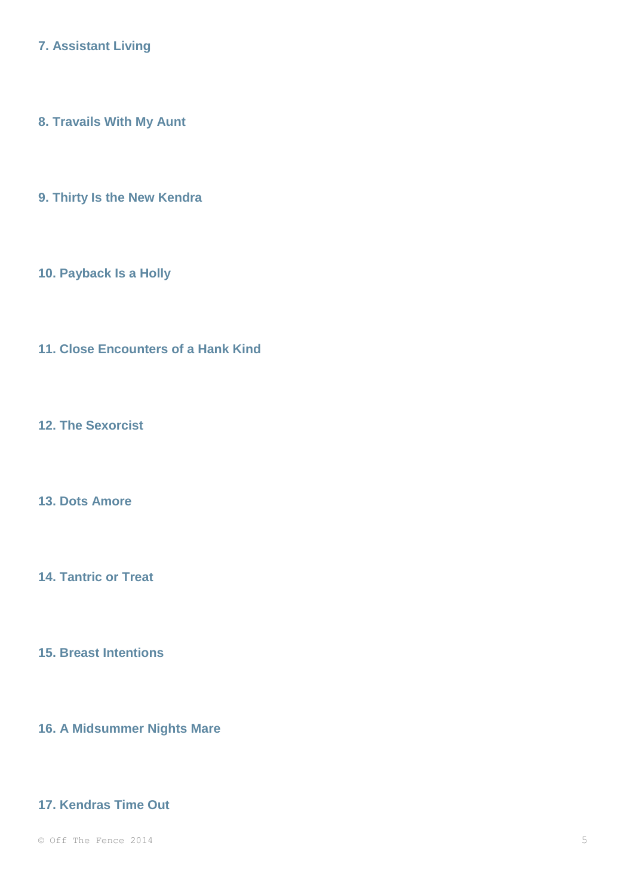**7. Assistant Living**

**8. Travails With My Aunt**

**9. Thirty Is the New Kendra**

**10. Payback Is a Holly**

**11. Close Encounters of a Hank Kind**

**12. The Sexorcist**

**13. Dots Amore**

**14. Tantric or Treat**

**15. Breast Intentions**

**16. A Midsummer Nights Mare**

# **17. Kendras Time Out**

 $\degree$  Off The Fence 2014  $\degree$